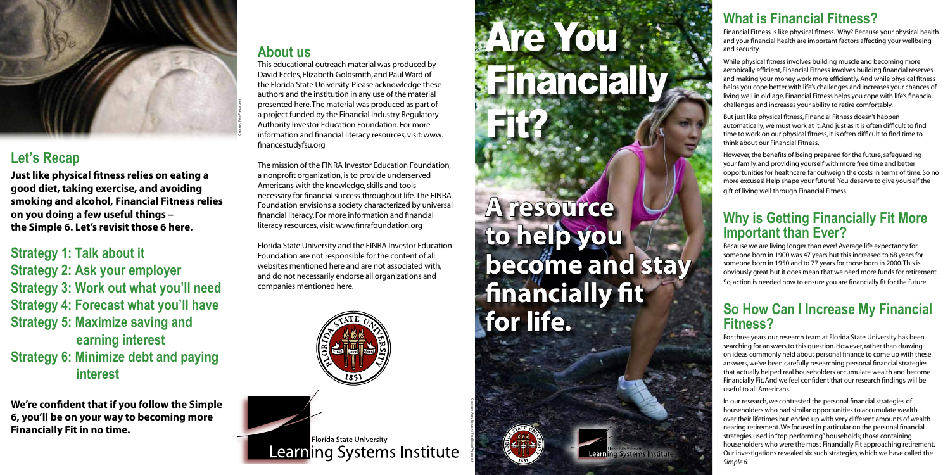#### **About us**

This educational outreach material was produced by David Eccles, Elizabeth Goldsmith, and Paul Ward of the Florida State University. Please acknowledge these authors and the institution in any use of the material presented here. The material was produced as part of a project funded by the Financial Industry Regulatory Authority Investor Education Foundation. For more information and financial literacy resources, visit: www. financestudyfsu.org

The mission of the FINRA Investor Education Foundation, a nonprofit organization, is to provide underserved Americans with the knowledge, skills and tools necessary for financial success throughout life. The FINRA Foundation envisions a society characterized by universal financial literacy. For more information and financial literacy resources, visit: www.finrafoundation.org

Florida State University and the FINRA Investor Education Foundation are not responsible for the content of all websites mentioned here and are not associated with, and do not necessarily endorse all organizations and companies mentioned here.



Florida State University **Learning Systems Institute** 

# Are You Financially

**Learning Systems Institute** 

Fit?

## **A resource to help you become and stay financially fit for life.**



### **Let's Recap**

**Just like physical fitness relies on eating a good diet, taking exercise, and avoiding smoking and alcohol, Financial Fitness relies on you doing a few useful things – the Simple 6. Let's revisit those 6 here.**

**Strategy 1: Talk about it**

- **Strategy 2: Ask your employer**
- **Strategy 3: Work out what you'll need**
- **Strategy 4: Forecast what you'll have**
- **Strategy 5: Maximize saving and earning interest**
- **Strategy 6: Minimize debt and paying interest**

**We're confident that if you follow the Simple 6, you'll be on your way to becoming more Financially Fit in no time.**

Courtesy: Andy Newson / FreeDigitalPhotos.net

#### **What is Financial Fitness?**

Financial Fitness is like physical fitness. Why? Because your physical health and your financial health are important factors affecting your wellbeing and security.

While physical fitness involves building muscle and becoming more aerobically efficient, Financial Fitness involves building financial reserves and making your money work more efficiently. And while physical fitness helps you cope better with life's challenges and increases your chances of living well in old age, Financial Fitness helps you cope with life's financial challenges and increases your ability to retire comfortably.

But just like physical fitness, Financial Fitness doesn't happen automatically; we must work at it. And just as it is often difficult to find time to work on our physical fitness, it is often difficult to find time to think about our Financial Fitness.

However, the benefits of being prepared for the future, safeguarding your family, and providing yourself with more free time and better opportunities for healthcare, far outweigh the costs in terms of time. So no more excuses! Help shape your future! You deserve to give yourself the gift of living well through Financial Fitness.

#### **Why is Getting Financially Fit More Important than Ever?**

Because we are living longer than ever! Average life expectancy for someone born in 1900 was 47 years but this increased to 68 years for someone born in 1950 and to 77 years for those born in 2000. This is obviously great but it does mean that we need more funds for retirement. So, action is needed now to ensure you are financially fit for the future.

#### **So How Can I Increase My Financial Fitness?**

For three years our research team at Florida State University has been searching for answers to this question. However, rather than drawing on ideas commonly held about personal finance to come up with these answers, we've been carefully researching personal financial strategies that actually helped real householders accumulate wealth and become Financially Fit. And we feel confident that our research findings will be useful to all Americans.

In our research, we contrasted the personal financial strategies of householders who had similar opportunities to accumulate wealth over their lifetimes but ended up with very different amounts of wealth nearing retirement. We focused in particular on the personal financial strategies used in "top performing" households; those containing householders who were the most Financially Fit approaching retirement. Our investigations revealed six such strategies, which we have called the *Simple 6.*